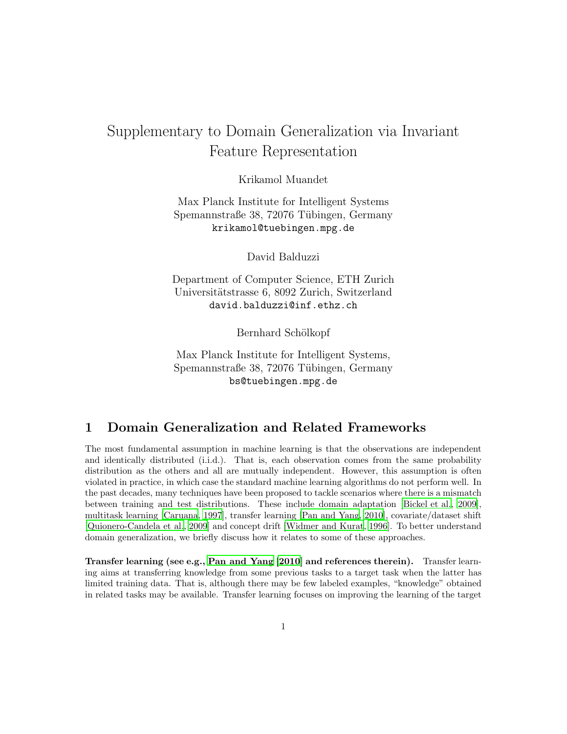# Supplementary to Domain Generalization via Invariant Feature Representation

Krikamol Muandet

Max Planck Institute for Intelligent Systems Spemannstraße 38, 72076 Tübingen, Germany krikamol@tuebingen.mpg.de

David Balduzzi

Department of Computer Science, ETH Zurich Universitätstrasse 6, 8092 Zurich, Switzerland david.balduzzi@inf.ethz.ch

Bernhard Schölkopf

Max Planck Institute for Intelligent Systems, Spemannstraße 38, 72076 Tübingen, Germany bs@tuebingen.mpg.de

#### 1 Domain Generalization and Related Frameworks

The most fundamental assumption in machine learning is that the observations are independent and identically distributed (i.i.d.). That is, each observation comes from the same probability distribution as the others and all are mutually independent. However, this assumption is often violated in practice, in which case the standard machine learning algorithms do not perform well. In the past decades, many techniques have been proposed to tackle scenarios where there is a mismatch between training and test distributions. These include domain adaptation [\[Bickel et al.](#page-8-0), [2009\]](#page-8-0), multitask learning [\[Caruana, 1997\]](#page-8-1), transfer learning [\[Pan and Yang, 2010\]](#page-8-2), covariate/dataset shift [\[Quionero-Candela et al., 2009](#page-8-3)] and concept drift [\[Widmer and Kurat, 1996](#page-8-4)]. To better understand domain generalization, we briefly discuss how it relates to some of these approaches.

Transfer learning (see e.g., [Pan and Yang \[2010](#page-8-2)] and references therein). Transfer learning aims at transferring knowledge from some previous tasks to a target task when the latter has limited training data. That is, although there may be few labeled examples, "knowledge" obtained in related tasks may be available. Transfer learning focuses on improving the learning of the target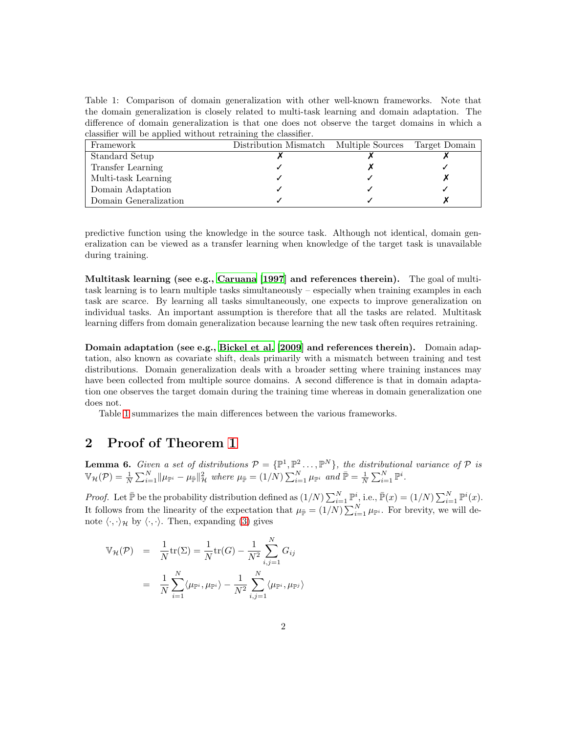<span id="page-1-0"></span>Table 1: Comparison of domain generalization with other well-known frameworks. Note that the domain generalization is closely related to multi-task learning and domain adaptation. The difference of domain generalization is that one does not observe the target domains in which a classifier will be applied without retraining the classifier.

| Framework             | Distribution Mismatch Multiple Sources | Target Domain |
|-----------------------|----------------------------------------|---------------|
| Standard Setup        |                                        |               |
| Transfer Learning     |                                        |               |
| Multi-task Learning   |                                        |               |
| Domain Adaptation     |                                        |               |
| Domain Generalization |                                        |               |

predictive function using the knowledge in the source task. Although not identical, domain generalization can be viewed as a transfer learning when knowledge of the target task is unavailable during training.

Multitask learning (see e.g., [Caruana \[1997\]](#page-8-1) and references therein). The goal of multitask learning is to learn multiple tasks simultaneously – especially when training examples in each task are scarce. By learning all tasks simultaneously, one expects to improve generalization on individual tasks. An important assumption is therefore that all the tasks are related. Multitask learning differs from domain generalization because learning the new task often requires retraining.

Domain adaptation (see e.g., [Bickel et al. \[2009](#page-8-0)] and references therein). Domain adaptation, also known as covariate shift, deals primarily with a mismatch between training and test distributions. Domain generalization deals with a broader setting where training instances may have been collected from multiple source domains. A second difference is that in domain adaptation one observes the target domain during the training time whereas in domain generalization one does not.

Table [1](#page-1-0) summarizes the main differences between the various frameworks.

#### 2 Proof of Theorem 1

<span id="page-1-1"></span>**Lemma 6.** Given a set of distributions  $\mathcal{P} = \{ \mathbb{P}^1, \mathbb{P}^2 \dots, \mathbb{P}^N \}$ , the distributional variance of  $\mathcal P$  is  $\mathbb{V}_{\mathcal{H}}(\mathcal{P}) = \frac{1}{N} \sum_{i=1}^{N} ||\mu_{\mathbb{P}^{i}} - \mu_{\overline{\mathbb{P}}}||_{\mathcal{H}}^{2}$  where  $\mu_{\overline{\mathbb{P}}} = (1/N) \sum_{i=1}^{N} \mu_{\mathbb{P}^{i}}$  and  $\overline{\mathbb{P}} = \frac{1}{N} \sum_{i=1}^{N} \mathbb{P}^{i}$ .

*Proof.* Let  $\bar{\mathbb{P}}$  be the probability distribution defined as  $(1/N)\sum_{i=1}^{N} \mathbb{P}_{\cdot}^{i}$ , i.e.,  $\bar{\mathbb{P}}(x) = (1/N)\sum_{i=1}^{N} \mathbb{P}^{i}(x)$ . It follows from the linearity of the expectation that  $\mu_{\bar{P}} = (1/N) \sum_{i=1}^{N} \mu_{\bar{P}^i}$ . For brevity, we will denote  $\langle \cdot, \cdot \rangle_{\mathcal{H}}$  by  $\langle \cdot, \cdot \rangle$ . Then, expanding (3) gives

$$
\mathbb{V}_{\mathcal{H}}(\mathcal{P}) = \frac{1}{N} \text{tr}(\Sigma) = \frac{1}{N} \text{tr}(G) - \frac{1}{N^2} \sum_{i,j=1}^{N} G_{ij}
$$

$$
= \frac{1}{N} \sum_{i=1}^{N} \langle \mu_{\mathbb{P}^i}, \mu_{\mathbb{P}^i} \rangle - \frac{1}{N^2} \sum_{i,j=1}^{N} \langle \mu_{\mathbb{P}^i}, \mu_{\mathbb{P}^j} \rangle
$$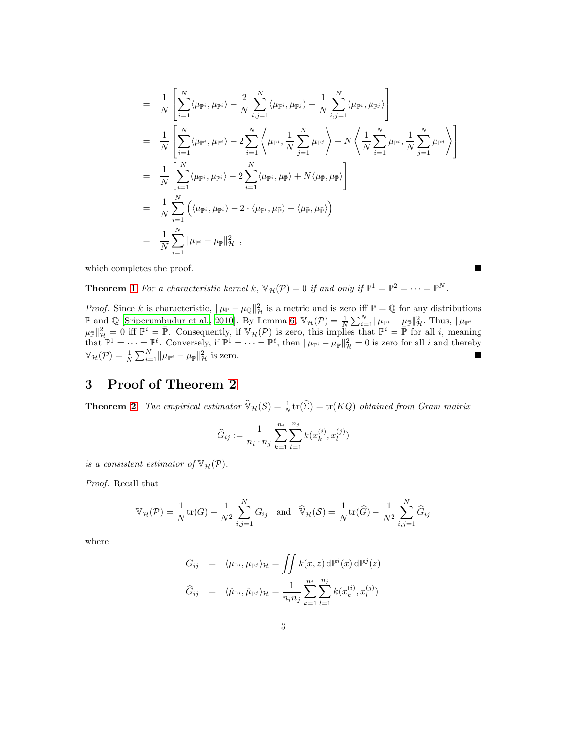$$
= \frac{1}{N} \left[ \sum_{i=1}^{N} \langle \mu_{\mathbb{P}^{i}}, \mu_{\mathbb{P}^{i}} \rangle - \frac{2}{N} \sum_{i,j=1}^{N} \langle \mu_{\mathbb{P}^{i}}, \mu_{\mathbb{P}^{j}} \rangle + \frac{1}{N} \sum_{i,j=1}^{N} \langle \mu_{\mathbb{P}^{i}}, \mu_{\mathbb{P}^{j}} \rangle \right]
$$
  
\n
$$
= \frac{1}{N} \left[ \sum_{i=1}^{N} \langle \mu_{\mathbb{P}^{i}}, \mu_{\mathbb{P}^{i}} \rangle - 2 \sum_{i=1}^{N} \left\langle \mu_{\mathbb{P}^{i}}, \frac{1}{N} \sum_{j=1}^{N} \mu_{\mathbb{P}^{j}} \right\rangle + N \left\langle \frac{1}{N} \sum_{i=1}^{N} \mu_{\mathbb{P}^{i}}, \frac{1}{N} \sum_{j=1}^{N} \mu_{\mathbb{P}^{j}} \right\rangle \right]
$$
  
\n
$$
= \frac{1}{N} \left[ \sum_{i=1}^{N} \langle \mu_{\mathbb{P}^{i}}, \mu_{\mathbb{P}^{i}} \rangle - 2 \sum_{i=1}^{N} \langle \mu_{\mathbb{P}^{i}}, \mu_{\mathbb{P}} \rangle + N \langle \mu_{\mathbb{P}}, \mu_{\mathbb{P}} \rangle \right]
$$
  
\n
$$
= \frac{1}{N} \sum_{i=1}^{N} \left( \langle \mu_{\mathbb{P}^{i}}, \mu_{\mathbb{P}^{i}} \rangle - 2 \cdot \langle \mu_{\mathbb{P}^{i}}, \mu_{\mathbb{P}} \rangle + \langle \mu_{\mathbb{P}}, \mu_{\mathbb{P}} \rangle \right)
$$
  
\n
$$
= \frac{1}{N} \sum_{i=1}^{N} || \mu_{\mathbb{P}^{i}} - \mu_{\mathbb{P}} ||_{\mathcal{H}}^{2} ,
$$

which completes the proof.

**Theorem 1** For a characteristic kernel k,  $\mathbb{V}_{\mathcal{H}}(\mathcal{P}) = 0$  if and only if  $\mathbb{P}^1 = \mathbb{P}^2 = \cdots = \mathbb{P}^N$ .

*Proof.* Since k is characteristic,  $\|\mu_{\mathbb{P}} - \mu_{\mathbb{Q}}\|_{\mathcal{H}}^2$  is a metric and is zero iff  $\mathbb{P} = \mathbb{Q}$  for any distributions P and ℚ [\[Sriperumbudur et al., 2010](#page-8-5)]. By Lemma [6,](#page-1-1)  $\mathbb{V}_{\mathcal{H}}(\mathcal{P}) = \frac{1}{N} \sum_{i=1}^{N} ||\mu_{\mathbb{P}^i} - \mu_{\mathbb{P}}||^2_{\mathcal{H}}$ . Thus,  $||\mu_{\mathbb{P}^i} \mu_{\bar{\mathbb{P}}} \|_{\mathcal{H}}^2 = 0$  iff  $\mathbb{P}^i = \bar{\mathbb{P}}$ . Consequently, if  $\mathbb{V}_{\mathcal{H}}(\mathcal{P})$  is zero, this implies that  $\mathbb{P}^i = \bar{\mathbb{P}}$  for all i, meaning that  $\mathbb{P}^1 = \cdots = \mathbb{P}^{\ell}$ . Conversely, if  $\mathbb{P}^1 = \cdots = \mathbb{P}^{\ell}$ , then  $\|\mu_{\mathbb{P}^i} - \mu_{\bar{\mathbb{P}}}\|_{\mathcal{H}}^2 = 0$  is zero for all i and thereby  $\mathbb{V}_{\mathcal{H}}(\mathcal{P}) = \frac{1}{N} \sum_{i=1}^{N} ||\mu_{\mathbb{P}^i} - \mu_{\mathbb{P}}||_{\mathcal{H}}^2$  is zero.

# 3 Proof of Theorem 2

**Theorem 2** The empirical estimator  $\widehat{\mathbb{V}}_{\mathcal{H}}(\mathcal{S}) = \frac{1}{N} \text{tr}(\widehat{\Sigma}) = \text{tr}(KQ)$  obtained from Gram matrix

$$
\widehat{G}_{ij} := \frac{1}{n_i \cdot n_j} \sum_{k=1}^{n_i} \sum_{l=1}^{n_j} k(x_k^{(i)}, x_l^{(j)})
$$

is a consistent estimator of  $\mathbb{V}_{\mathcal{H}}(\mathcal{P})$ .

Proof. Recall that

$$
\mathbb{V}_{\mathcal{H}}(\mathcal{P}) = \frac{1}{N} \text{tr}(G) - \frac{1}{N^2} \sum_{i,j=1}^N G_{ij} \text{ and } \widehat{\mathbb{V}}_{\mathcal{H}}(\mathcal{S}) = \frac{1}{N} \text{tr}(\widehat{G}) - \frac{1}{N^2} \sum_{i,j=1}^N \widehat{G}_{ij}
$$

where

$$
G_{ij} = \langle \mu_{\mathbb{P}^i}, \mu_{\mathbb{P}^j} \rangle_{\mathcal{H}} = \iint k(x, z) \, d\mathbb{P}^i(x) \, d\mathbb{P}^j(z)
$$

$$
\widehat{G}_{ij} = \langle \widehat{\mu}_{\mathbb{P}^i}, \widehat{\mu}_{\mathbb{P}^j} \rangle_{\mathcal{H}} = \frac{1}{n_i n_j} \sum_{k=1}^{n_i} \sum_{l=1}^{n_j} k(x_k^{(i)}, x_l^{(j)})
$$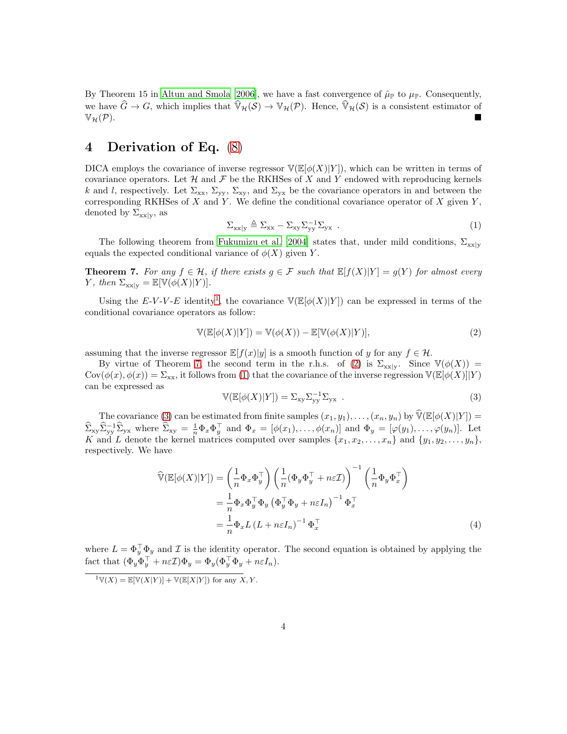By Theorem 15 in [Altun and Smola \[2006\]](#page-7-0), we have a fast convergence of  $\hat{\mu}_{\mathbb{P}}$  to  $\mu_{\mathbb{P}}$ . Consequently, we have  $\widehat{G} \to G$ , which implies that  $\widehat{\mathbb{V}}_{\mathcal{H}}(\mathcal{S}) \to \mathbb{V}_{\mathcal{H}}(\mathcal{P})$ . Hence,  $\widehat{\mathbb{V}}_{\mathcal{H}}(\mathcal{S})$  is a consistent estimator of  $\mathbb{V}_{\mathcal{H}}(\mathcal{P})$ .  $\mathbb{V}_{\mathcal{H}}(\mathcal{P}).$ 

## 4 Derivation of Eq. (8)

DICA employs the covariance of inverse regressor  $\mathbb{V}(\mathbb{E}[\phi(X)|Y])$ , which can be written in terms of covariance operators. Let  $\mathcal H$  and  $\mathcal F$  be the RKHSes of X and Y endowed with reproducing kernels k and l, respectively. Let  $\Sigma_{xx}$ ,  $\Sigma_{yy}$ ,  $\Sigma_{xy}$ , and  $\Sigma_{yx}$  be the covariance operators in and between the corresponding RKHSes of X and Y. We define the conditional covariance operator of X given  $Y$ , denoted by  $\Sigma_{xx|y}$ , as

<span id="page-3-3"></span>
$$
\Sigma_{xx|y} \triangleq \Sigma_{xx} - \Sigma_{xy} \Sigma_{yy}^{-1} \Sigma_{yx} . \qquad (1)
$$

The following theorem from [Fukumizu et al. \[2004\]](#page-8-6) states that, under mild conditions,  $\Sigma_{\rm xx|y}$ equals the expected conditional variance of  $\phi(X)$  given Y.

<span id="page-3-1"></span>**Theorem 7.** For any  $f \in H$ , if there exists  $g \in F$  such that  $\mathbb{E}[f(X)|Y] = g(Y)$  for almost every Y, then  $\Sigma_{\text{xx}|y} = \mathbb{E}[\mathbb{V}(\phi(X)|Y)].$ 

Using the E-V-V-E identity<sup>[1](#page-3-0)</sup>, the covariance  $\mathbb{V}(\mathbb{E}[\phi(X)|Y])$  can be expressed in terms of the conditional covariance operators as follow:

<span id="page-3-2"></span>
$$
\mathbb{V}(\mathbb{E}[\phi(X)|Y]) = \mathbb{V}(\phi(X)) - \mathbb{E}[\mathbb{V}(\phi(X)|Y)],\tag{2}
$$

assuming that the inverse regressor  $\mathbb{E}[f(x)|y]$  is a smooth function of y for any  $f \in \mathcal{H}$ .

By virtue of Theorem [7,](#page-3-1) the second term in the r.h.s. of [\(2\)](#page-3-2) is  $\Sigma_{xx|y}$ . Since  $\mathbb{V}(\phi(X))$  =  $Cov(\phi(x), \phi(x)) = \Sigma_{xx}$ , it follows from [\(1\)](#page-3-3) that the covariance of the inverse regression  $\mathbb{V}(\mathbb{E}[\phi(X) || Y)$ can be expressed as

<span id="page-3-4"></span>
$$
\mathbb{V}(\mathbb{E}[\phi(X)|Y]) = \Sigma_{\mathbf{xy}} \Sigma_{\mathbf{yy}}^{-1} \Sigma_{\mathbf{yx}} . \tag{3}
$$

The covariance [\(3\)](#page-3-4) can be estimated from finite samples  $(x_1, y_1), \ldots, (x_n, y_n)$  by  $\widehat{\mathbb{V}}(\mathbb{E}[\phi(X)|Y]) =$  $\widehat{\Sigma}_{xy}\widehat{\Sigma}_{yy}^{-1}\widehat{\Sigma}_{yx}$  where  $\widehat{\Sigma}_{xy} = \frac{1}{n}\Phi_x \Phi_y^{\top}$  and  $\Phi_x = [\phi(x_1), \dots, \phi(x_n)]$  and  $\Phi_y = [\phi(y_1), \dots, \phi(y_n)]$ . Let K and L denote the kernel matrices computed over samples  $\{x_1, x_2, \ldots, x_n\}$  and  $\{y_1, y_2, \ldots, y_n\}$ , respectively. We have

$$
\widehat{\mathbb{V}}(\mathbb{E}[\phi(X)|Y]) = \left(\frac{1}{n}\Phi_x \Phi_y^{\top}\right) \left(\frac{1}{n}(\Phi_y \Phi_y^{\top} + n\varepsilon \mathcal{I})\right)^{-1} \left(\frac{1}{n}\Phi_y \Phi_x^{\top}\right)
$$
\n
$$
= \frac{1}{n}\Phi_x \Phi_y^{\top} \Phi_y \left(\Phi_y^{\top} \Phi_y + n\varepsilon I_n\right)^{-1} \Phi_x^{\top}
$$
\n
$$
= \frac{1}{n}\Phi_x L \left(L + n\varepsilon I_n\right)^{-1} \Phi_x^{\top}
$$
\n(4)

where  $L = \Phi_y^{\top} \Phi_y$  and  $\mathcal I$  is the identity operator. The second equation is obtained by applying the fact that  $(\Phi_y \Phi_y^{\top} + n \varepsilon \mathcal{I}) \Phi_y = \Phi_y (\Phi_y^{\top} \Phi_y + n \varepsilon I_n).$ 

<span id="page-3-0"></span> $\overline{X}^1 \mathbb{V}(X) = \mathbb{E}[\mathbb{V}(X|Y)] + \mathbb{V}(\mathbb{E}[X|Y])$  for any  $X, Y$ .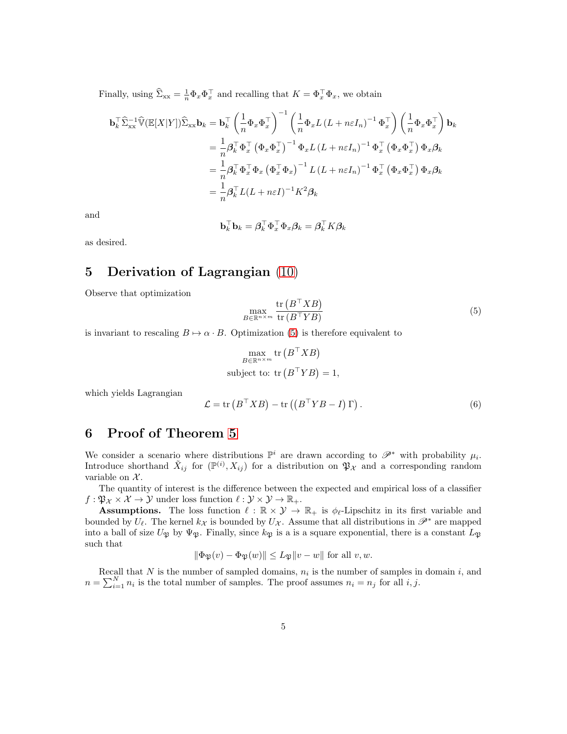Finally, using  $\hat{\Sigma}_{xx} = \frac{1}{n} \Phi_x \Phi_x^{\top}$  and recalling that  $K = \Phi_x^{\top} \Phi_x$ , we obtain

$$
\mathbf{b}_{k}^{\top} \hat{\Sigma}_{xx}^{-1} \hat{\mathbb{V}} (\mathbb{E}[X|Y]) \hat{\Sigma}_{xx} \mathbf{b}_{k} = \mathbf{b}_{k}^{\top} \left( \frac{1}{n} \Phi_{x} \Phi_{x}^{\top} \right)^{-1} \left( \frac{1}{n} \Phi_{x} L \left( L + n \varepsilon I_{n} \right)^{-1} \Phi_{x}^{\top} \right) \left( \frac{1}{n} \Phi_{x} \Phi_{x}^{\top} \right) \mathbf{b}_{k}
$$
  
\n
$$
= \frac{1}{n} \beta_{k}^{\top} \Phi_{x}^{\top} \left( \Phi_{x} \Phi_{x}^{\top} \right)^{-1} \Phi_{x} L \left( L + n \varepsilon I_{n} \right)^{-1} \Phi_{x}^{\top} \left( \Phi_{x} \Phi_{x}^{\top} \right) \Phi_{x} \beta_{k}
$$
  
\n
$$
= \frac{1}{n} \beta_{k}^{\top} \Phi_{x}^{\top} \Phi_{x} \left( \Phi_{x}^{\top} \Phi_{x} \right)^{-1} L \left( L + n \varepsilon I_{n} \right)^{-1} \Phi_{x}^{\top} \left( \Phi_{x} \Phi_{x}^{\top} \right) \Phi_{x} \beta_{k}
$$
  
\n
$$
= \frac{1}{n} \beta_{k}^{\top} L (L + n \varepsilon I)^{-1} K^{2} \beta_{k}
$$

and

$$
\mathbf{b}_k^\top \mathbf{b}_k = \boldsymbol{\beta}_k^\top \boldsymbol{\Phi}_x^\top \boldsymbol{\Phi}_x \boldsymbol{\beta}_k = \boldsymbol{\beta}_k^\top K \boldsymbol{\beta}_k
$$

 $x = \pm 1$ 

as desired.

# 5 Derivation of Lagrangian (10)

Observe that optimization

<span id="page-4-0"></span>
$$
\max_{B \in \mathbb{R}^{n \times m}} \frac{\text{tr}\left(B^{\top}XB\right)}{\text{tr}\left(B^{\top}YB\right)}\tag{5}
$$

is invariant to rescaling  $B \mapsto \alpha \cdot B$ . Optimization [\(5\)](#page-4-0) is therefore equivalent to

$$
\max_{B \in \mathbb{R}^{n \times m}} \text{tr}\left(B^{\top}XB\right)
$$
\nsubject to: tr $(B^{\top}YB) = 1$ ,

which yields Lagrangian

$$
\mathcal{L} = \text{tr}\left(B^{\top}XB\right) - \text{tr}\left(\left(B^{\top}YB - I\right)\Gamma\right). \tag{6}
$$

#### 6 Proof of Theorem 5

We consider a scenario where distributions  $\mathbb{P}^i$  are drawn according to  $\mathscr{P}^*$  with probability  $\mu_i$ . Introduce shorthand  $\tilde{X}_{ij}$  for  $(\mathbb{P}^{(i)}, X_{ij})$  for a distribution on  $\mathfrak{P}_X$  and a corresponding random variable on  $\mathcal{X}$ .

The quantity of interest is the difference between the expected and empirical loss of a classifier  $f: \mathfrak{P}_{\mathcal{X}} \times \mathcal{X} \to \mathcal{Y}$  under loss function  $\ell : \mathcal{Y} \times \mathcal{Y} \to \mathbb{R}_+$ .

**Assumptions.** The loss function  $\ell : \mathbb{R} \times \mathcal{Y} \to \mathbb{R}_+$  is  $\phi_{\ell}$ -Lipschitz in its first variable and bounded by  $U_{\ell}$ . The kernel  $k_{\ell}$  is bounded by  $U_{\ell}$ . Assume that all distributions in  $\mathscr{P}^*$  are mapped into a ball of size  $U_{\mathfrak{P}}$  by  $\Psi_{\mathfrak{P}}$ . Finally, since  $k_{\mathfrak{P}}$  is a is a square exponential, there is a constant  $L_{\mathfrak{P}}$ such that

$$
\|\Phi_{\mathfrak{P}}(v) - \Phi_{\mathfrak{P}}(w)\| \le L_{\mathfrak{P}} \|v - w\| \text{ for all } v, w.
$$

Recall that N is the number of sampled domains,  $n_i$  is the number of samples in domain i, and  $n = \sum_{i=1}^{N} n_i$  is the total number of samples. The proof assumes  $n_i = n_j$  for all  $i, j$ .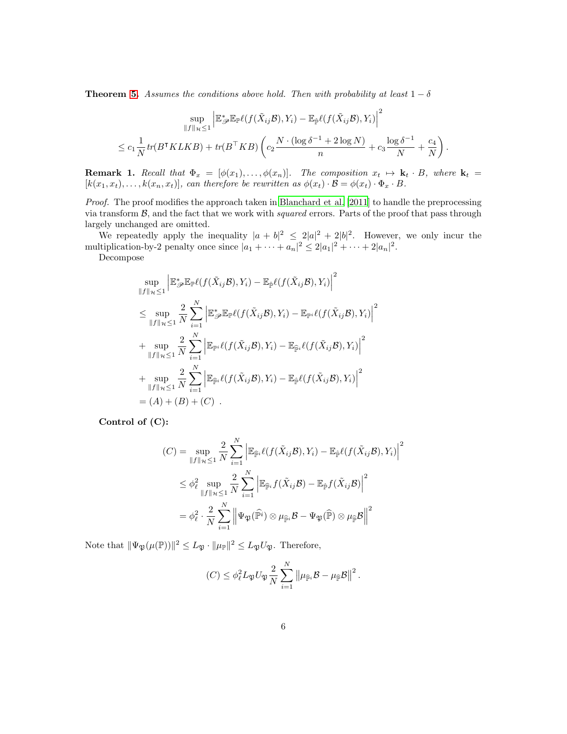**Theorem 5.** Assumes the conditions above hold. Then with probability at least  $1 - \delta$ 

$$
\sup_{\|f\|_{\mathcal{H}} \leq 1} \left| \mathbb{E}_{\mathcal{P}}^* \mathbb{E}_{\mathbb{P}} \ell(f(\tilde{X}_{ij} \mathcal{B}), Y_i) - \mathbb{E}_{\hat{\mathbb{P}}} \ell(f(\tilde{X}_{ij} \mathcal{B}), Y_i) \right|^2
$$
  

$$
\leq c_1 \frac{1}{N} tr(B^{\mathsf{T}} K L K B) + tr(B^{\mathsf{T}} K B) \left( c_2 \frac{N \cdot (\log \delta^{-1} + 2 \log N)}{n} + c_3 \frac{\log \delta^{-1}}{N} + \frac{c_4}{N} \right).
$$

**Remark 1.** Recall that  $\Phi_x = [\phi(x_1), \ldots, \phi(x_n)]$ . The composition  $x_t \mapsto \mathbf{k}_t \cdot B$ , where  $\mathbf{k}_t =$  $[k(x_1, x_t), \ldots, k(x_n, x_t)],$  can therefore be rewritten as  $\phi(x_t) \cdot \mathcal{B} = \phi(x_t) \cdot \Phi_x \cdot B$ .

Proof. The proof modifies the approach taken in [Blanchard et al. \[2011](#page-8-7)] to handle the preprocessing via transform  $\mathcal{B}$ , and the fact that we work with squared errors. Parts of the proof that pass through largely unchanged are omitted.

We repeatedly apply the inequality  $|a + b|^2 \leq 2|a|^2 + 2|b|^2$ . However, we only incur the multiplication-by-2 penalty once since  $|a_1 + \cdots + a_n|^2 \leq 2|a_1|^2 + \cdots + 2|a_n|^2$ .

Decompose

$$
\sup_{\|f\|_{\mathcal{H}}\leq 1} \left| \mathbb{E}_{\mathcal{P}}^* \mathbb{E}_{\mathbb{P}} \ell(f(\tilde{X}_{ij}\mathcal{B}), Y_i) - \mathbb{E}_{\hat{\mathbb{P}}} \ell(f(\tilde{X}_{ij}\mathcal{B}), Y_i) \right|^2
$$
\n
$$
\leq \sup_{\|f\|_{\mathcal{H}}\leq 1} \frac{2}{N} \sum_{i=1}^N \left| \mathbb{E}_{\mathcal{P}}^* \mathbb{E}_{\mathbb{P}} \ell(f(\tilde{X}_{ij}\mathcal{B}), Y_i) - \mathbb{E}_{\mathbb{P}^i} \ell(f(\tilde{X}_{ij}\mathcal{B}), Y_i) \right|^2
$$
\n
$$
+ \sup_{\|f\|_{\mathcal{H}}\leq 1} \frac{2}{N} \sum_{i=1}^N \left| \mathbb{E}_{\mathbb{P}^i} \ell(f(\tilde{X}_{ij}\mathcal{B}), Y_i) - \mathbb{E}_{\hat{\mathbb{P}}^i} \ell(f(\tilde{X}_{ij}\mathcal{B}), Y_i) \right|^2
$$
\n
$$
+ \sup_{\|f\|_{\mathcal{H}}\leq 1} \frac{2}{N} \sum_{i=1}^N \left| \mathbb{E}_{\hat{\mathbb{P}}^i} \ell(f(\tilde{X}_{ij}\mathcal{B}), Y_i) - \mathbb{E}_{\hat{\mathbb{P}}} \ell(f(\tilde{X}_{ij}\mathcal{B}), Y_i) \right|^2
$$
\n
$$
= (A) + (B) + (C) .
$$

Control of (C):

$$
(C) = \sup_{\|f\|_{\mathcal{H}} \leq 1} \frac{2}{N} \sum_{i=1}^{N} \left| \mathbb{E}_{\widehat{\mathbb{P}}^i} \ell(f(\tilde{X}_{ij}\mathcal{B}), Y_i) - \mathbb{E}_{\widehat{\mathbb{P}}} \ell(f(\tilde{X}_{ij}\mathcal{B}), Y_i) \right|^2
$$
  

$$
\leq \phi_{\ell}^2 \sup_{\|f\|_{\mathcal{H}} \leq 1} \frac{2}{N} \sum_{i=1}^{N} \left| \mathbb{E}_{\widehat{\mathbb{P}}^i} f(\tilde{X}_{ij}\mathcal{B}) - \mathbb{E}_{\widehat{\mathbb{P}}} f(\tilde{X}_{ij}\mathcal{B}) \right|^2
$$
  

$$
= \phi_{\ell}^2 \cdot \frac{2}{N} \sum_{i=1}^{N} \left| \Psi_{\mathfrak{P}}(\widehat{\mathbb{P}}^i) \otimes \mu_{\widehat{\mathbb{P}}^i} \mathcal{B} - \Psi_{\mathfrak{P}}(\widehat{\mathbb{P}}) \otimes \mu_{\widehat{\mathbb{P}}} \mathcal{B} \right|^{2}
$$

Note that  $\|\Psi_{\mathfrak{P}}(\mu(\mathbb{P}))\|^2 \leq L_{\mathfrak{P}} \cdot \|\mu_{\mathbb{P}}\|^2 \leq L_{\mathfrak{P}}U_{\mathfrak{P}}$ . Therefore,

$$
(C) \leq \phi_{\ell}^2 L_{\mathfrak{P}} U_{\mathfrak{P}} \frac{2}{N} \sum_{i=1}^N \left\| \mu_{\widehat{\mathbb{P}}^i} \mathcal{B} - \mu_{\widehat{\mathbb{P}}} \mathcal{B} \right\|^2.
$$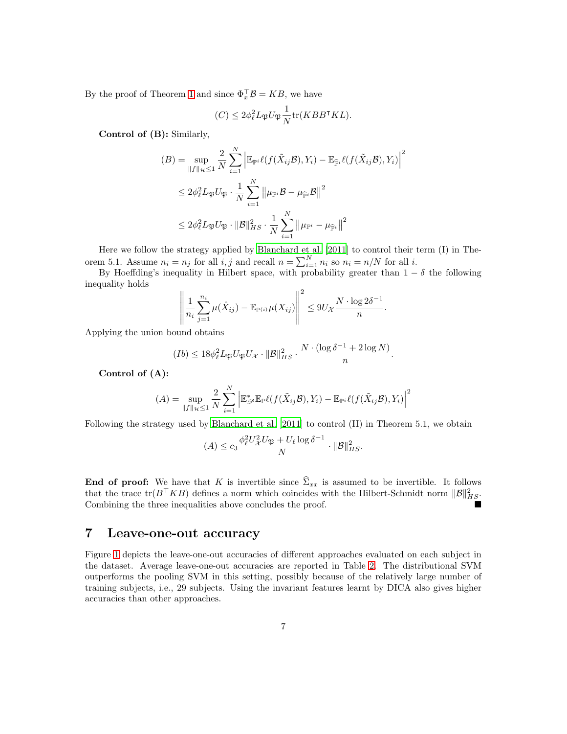By the proof of Theorem 1 and since  $\Phi_x^{\top} \mathcal{B} = K B$ , we have

$$
(C) \le 2\phi_{\ell}^2 L_{\mathfrak{P}} U_{\mathfrak{P}} \frac{1}{N} \text{tr}(KBB^{\intercal} KL).
$$

Control of (B): Similarly,

$$
(B) = \sup_{\|f\|_{\mathcal{H}} \le 1} \frac{2}{N} \sum_{i=1}^{N} \left| \mathbb{E}_{\mathbb{P}^i} \ell(f(\tilde{X}_{ij}B), Y_i) - \mathbb{E}_{\widehat{\mathbb{P}}^i} \ell(f(\tilde{X}_{ij}B), Y_i) \right|^2
$$
  

$$
\le 2\phi_{\ell}^2 L_{\mathfrak{P}} U_{\mathfrak{P}} \cdot \frac{1}{N} \sum_{i=1}^{N} \left\| \mu_{\mathbb{P}^i} \mathcal{B} - \mu_{\widehat{\mathbb{P}}^i} \mathcal{B} \right\|^2
$$
  

$$
\le 2\phi_{\ell}^2 L_{\mathfrak{P}} U_{\mathfrak{P}} \cdot \|\mathcal{B}\|_{HS}^2 \cdot \frac{1}{N} \sum_{i=1}^{N} \left\| \mu_{\mathbb{P}^i} - \mu_{\widehat{\mathbb{P}}^i} \right\|^2
$$

Here we follow the strategy applied by [Blanchard et al. \[2011](#page-8-7)] to control their term (I) in Theorem 5.1. Assume  $n_i = n_j$  for all  $i, j$  and recall  $n = \sum_{i=1}^{N} n_i$  so  $n_i = n/N$  for all  $i$ .

By Hoeffding's inequality in Hilbert space, with probability greater than  $1 - \delta$  the following inequality holds

$$
\left\|\frac{1}{n_i}\sum_{j=1}^{n_i}\mu(\hat{X}_{ij})-\mathbb{E}_{\mathbb{P}^{(i)}}\mu(X_{ij})\right\|^2\leq 9U_{\mathcal{X}}\frac{N\cdot\log 2\delta^{-1}}{n}.
$$

Applying the union bound obtains

$$
(Ib) \leq 18\phi_{\ell}^2 L_{\mathfrak{P}} U_{\mathfrak{P}} U_{\mathcal{X}} \cdot ||\mathcal{B}||_{HS}^2 \cdot \frac{N \cdot (\log \delta^{-1} + 2 \log N)}{n}.
$$

Control of (A):

$$
(A) = \sup_{\|f\|_{\mathcal{H}} \leq 1} \frac{2}{N} \sum_{i=1}^{N} \left| \mathbb{E}_{\mathcal{P}}^* \mathbb{E}_{\mathbb{P}} \ell(f(\tilde{X}_{ij} \mathcal{B}), Y_i) - \mathbb{E}_{\mathbb{P}^i} \ell(f(\tilde{X}_{ij} \mathcal{B}), Y_i) \right|^2
$$

Following the strategy used by [Blanchard et al. \[2011\]](#page-8-7) to control (II) in Theorem 5.1, we obtain

$$
(A) \le c_3 \frac{\phi_\ell^2 U_X^2 U_{\mathfrak{P}} + U_\ell \log \delta^{-1}}{N} \cdot \|\mathcal{B}\|_{HS}^2.
$$

**End of proof:** We have that K is invertible since  $\hat{\Sigma}_{xx}$  is assumed to be invertible. It follows that the trace  $tr(B^{\top}KB)$  defines a norm which coincides with the Hilbert-Schmidt norm  $||\mathcal{B}||_{HS}^2$ . Combining the three inequalities above concludes the proof.

#### 7 Leave-one-out accuracy

Figure [1](#page-7-1) depicts the leave-one-out accuracies of different approaches evaluated on each subject in the dataset. Average leave-one-out accuracies are reported in Table 2. The distributional SVM outperforms the pooling SVM in this setting, possibly because of the relatively large number of training subjects, i.e., 29 subjects. Using the invariant features learnt by DICA also gives higher accuracies than other approaches.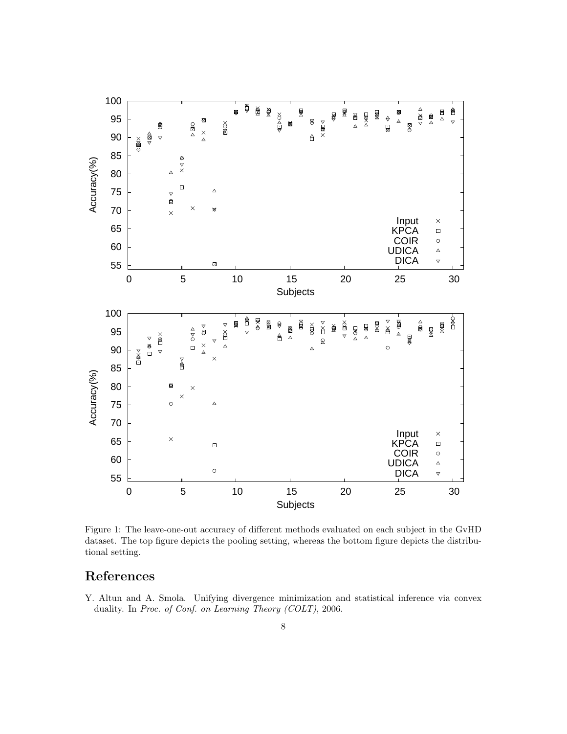

<span id="page-7-1"></span>Figure 1: The leave-one-out accuracy of different methods evaluated on each subject in the GvHD dataset. The top figure depicts the pooling setting, whereas the bottom figure depicts the distributional setting.

## References

<span id="page-7-0"></span>Y. Altun and A. Smola. Unifying divergence minimization and statistical inference via convex duality. In Proc. of Conf. on Learning Theory (COLT), 2006.